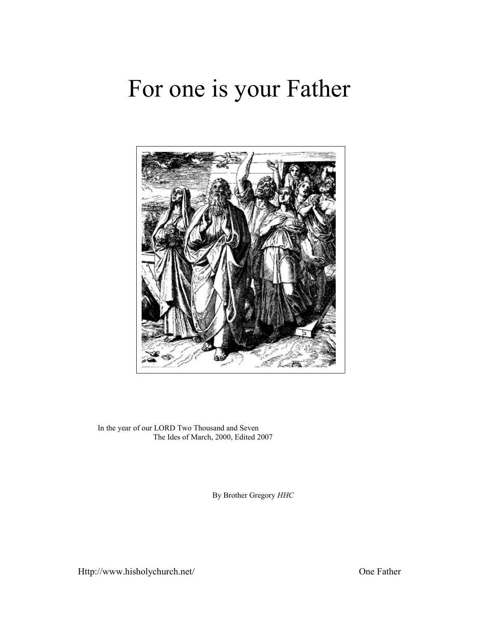# For one is your Father



In the year of our LORD Two Thousand and Seven The Ides of March, 2000, Edited 2007

By Brother Gregory *HHC*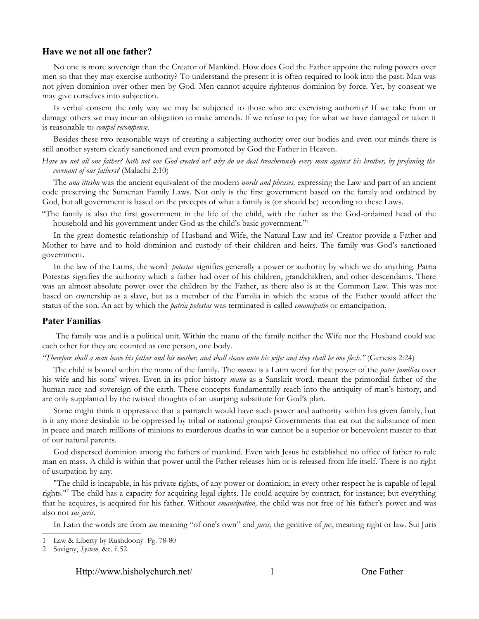### **Have we not all one father?**

No one is more sovereign than the Creator of Mankind. How does God the Father appoint the ruling powers over men so that they may exercise authority? To understand the present it is often required to look into the past. Man was not given dominion over other men by God. Men cannot acquire righteous dominion by force. Yet, by consent we may give ourselves into subjection.

Is verbal consent the only way we may be subjected to those who are exercising authority? If we take from or damage others we may incur an obligation to make amends. If we refuse to pay for what we have damaged or taken it is reasonable to *compel recompense*.

Besides these two reasonable ways of creating a subjecting authority over our bodies and even our minds there is still another system clearly sanctioned and even promoted by God the Father in Heaven.

Have we not all one father? hath not one God created us? why do we deal treacherously every man against his brother, by profaning the *covenant of our fathers?* (Malachi 2:10)

The *ana ittishu* was the ancient equivalent of the modern *words and phrases,* expressing the Law and part of an ancient code preserving the Sumerian Family Laws. Not only is the first government based on the family and ordained by God, but all government is based on the precepts of what a family is (or should be) according to these Laws.

"The family is also the first government in the life of the child, with the father as the God-ordained head of the household and his government under God as the child's basic government."[1](#page-1-0)

In the great domestic relationship of Husband and Wife, the Natural Law and its' Creator provide a Father and Mother to have and to hold dominion and custody of their children and heirs. The family was God's sanctioned government.

In the law of the Latins, the word *potestas* signifies generally a power or authority by which we do anything. Patria Potestas signifies the authority which a father had over of his children, grandchildren, and other descendants. There was an almost absolute power over the children by the Father, as there also is at the Common Law. This was not based on ownership as a slave, but as a member of the Familia in which the status of the Father would affect the status of the son. An act by which the *patria potestas* was terminated is called *emancipatio* or emancipation.

### **Pater Familias**

The family was and is a political unit. Within the manu of the family neither the Wife nor the Husband could sue each other for they are counted as one person, one body.

*"Therefore shall a man leave his father and his mother, and shall cleave unto his wife: and they shall be one flesh."* (Genesis 2:24)

The child is bound within the manu of the family. The *manus* is a Latin word for the power of the *pater familias* over his wife and his sons' wives. Even in its prior history *manu* as a Sanskrit word. meant the primordial father of the human race and sovereign of the earth. These concepts fundamentally reach into the antiquity of man's history, and are only supplanted by the twisted thoughts of an usurping substitute for God's plan.

Some might think it oppressive that a patriarch would have such power and authority within his given family, but is it any more desirable to be oppressed by tribal or national groups? Governments that eat out the substance of men in peace and march millions of minions to murderous deaths in war cannot be a superior or benevolent master to that of our natural parents.

God dispersed dominion among the fathers of mankind. Even with Jesus he established no office of father to rule man en mass. A child is within that power until the Father releases him or is released from life itself. There is no right of usurpation by any.

"The child is incapable, in his private rights, of any power or dominion; in every other respect he is capable of legal rights."[2](#page-1-1) The child has a capacity for acquiring legal rights. He could acquire by contract, for instance; but everything that he acquires, is acquired for his father. Without *emancipation,* the child was not free of his father's power and was also not *sui juris.*

In Latin the words are from *sui* meaning "of one's own" and *juris*, the genitive of *jus*, meaning right or law. Sui Juris

Http://www.hisholychurch.net/ 1 One Father

<span id="page-1-0"></span><sup>1</sup> Law & Liberty by Rushdoony Pg. 78-80

<span id="page-1-1"></span><sup>2</sup> Savigny, *System,* &c. ii.52.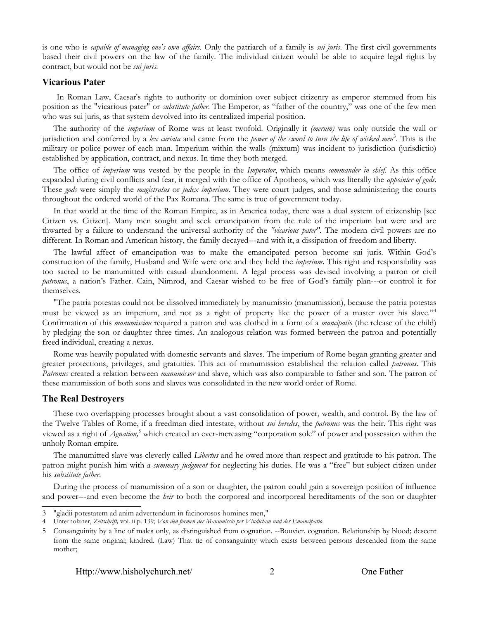is one who is *capable of managing one's own affairs*. Only the patriarch of a family is *sui juris*. The first civil governments based their civil powers on the law of the family. The individual citizen would be able to acquire legal rights by contract, but would not be *sui juris*.

### **Vicarious Pater**

In Roman Law, Caesar's rights to authority or dominion over subject citizenry as emperor stemmed from his position as the "vicarious pater" or *substitute father*. The Emperor, as "father of the country," was one of the few men who was sui juris, as that system devolved into its centralized imperial position.

The authority of the *imperium* of Rome was at least twofold. Originally it *(merum)* was only outside the wall or jurisdiction and conferred by a *lex curiata* and came from the *power of the sword to turn the life of wicked men*[3](#page-2-0) . This is the military or police power of each man. Imperium within the walls (mixtum) was incident to jurisdiction (jurisdictio) established by application, contract, and nexus. In time they both merged.

The office of *imperium* was vested by the people in the *Imperator*, which means *commander in chief*. As this office expanded during civil conflicts and fear, it merged with the office of Apotheos, which was literally the *appointer of gods*. These *gods* were simply the *magistratus* or *judex imperium*. They were court judges, and those administering the courts throughout the ordered world of the Pax Romana. The same is true of government today.

In that world at the time of the Roman Empire, as in America today, there was a dual system of citizenship [see Citizen vs. Citizen]. Many men sought and seek emancipation from the rule of the imperium but were and are thwarted by a failure to understand the universal authority of the *"vicarious pater".* The modern civil powers are no different. In Roman and American history, the family decayed---and with it, a dissipation of freedom and liberty.

The lawful affect of emancipation was to make the emancipated person become sui juris. Within God's construction of the family, Husband and Wife were one and they held the *imperium*. This right and responsibility was too sacred to be manumitted with casual abandonment. A legal process was devised involving a patron or civil *patronus*, a nation's Father. Cain, Nimrod, and Caesar wished to be free of God's family plan---or control it for themselves.

"The patria potestas could not be dissolved immediately by manumissio (manumission), because the patria potestas must be viewed as an imperium, and not as a right of property like the power of a master over his slave."<sup>[4](#page-2-1)</sup> Confirmation of this *manumission* required a patron and was clothed in a form of a *mancipatio* (the release of the child) by pledging the son or daughter three times. An analogous relation was formed between the patron and potentially freed individual, creating a nexus.

Rome was heavily populated with domestic servants and slaves. The imperium of Rome began granting greater and greater protections, privileges, and gratuities. This act of manumission established the relation called *patronus*. This *Patronus* created a relation between *manumissor* and slave, which was also comparable to father and son. The patron of these manumission of both sons and slaves was consolidated in the new world order of Rome.

### **The Real Destroyers**

These two overlapping processes brought about a vast consolidation of power, wealth, and control. By the law of the Twelve Tables of Rome, if a freedman died intestate, without *sui heredes*, the *patronus* was the heir. This right was viewed as a right of *Agnation*,<sup>[5](#page-2-2)</sup> which created an ever-increasing "corporation sole" of power and possession within the unholy Roman empire.

The manumitted slave was cleverly called *Libertus* and he owed more than respect and gratitude to his patron. The patron might punish him with a *summary judgment* for neglecting his duties. He was a "free" but subject citizen under his *substitute father*.

During the process of manumission of a son or daughter, the patron could gain a sovereign position of influence and power---and even become the *heir* to both the corporeal and incorporeal hereditaments of the son or daughter

<span id="page-2-0"></span><sup>3</sup> "gladii potestatem ad anim advertendum in facinorosos homines men,"

<span id="page-2-1"></span><sup>4</sup> Unterholzner, *Zeitschrift,* vol. ii p. 139; *Von den formen der Manumissio per Vindictam und der Emancipatio*.

<span id="page-2-2"></span><sup>5</sup> Consanguinity by a line of males only, as distinguished from cognation. --Bouvier. cognation. Relationship by blood; descent from the same original; kindred. (Law) That tie of consanguinity which exists between persons descended from the same mother;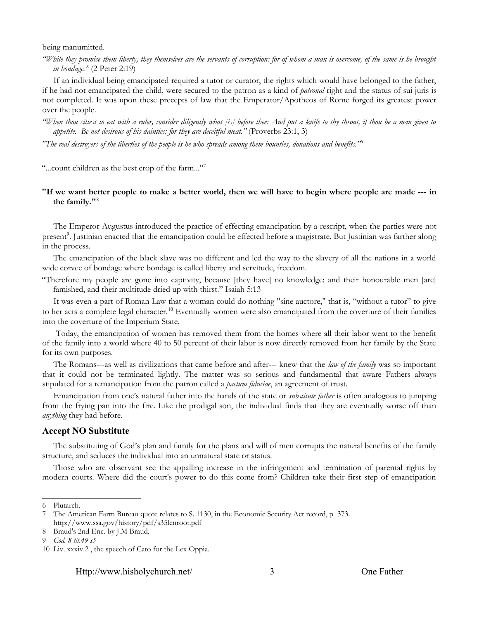being manumitted.

"While they promise them liberty, they themselves are the servants of corruption: for of whom a man is overcome, of the same is he brought *in bondage."* (2 Peter 2:19)

If an individual being emancipated required a tutor or curator, the rights which would have belonged to the father, if he had not emancipated the child, were secured to the patron as a kind of *patronal* right and the status of sui juris is not completed. It was upon these precepts of law that the Emperator/Apotheos of Rome forged its greatest power over the people.

"When thou sittest to eat with a ruler, consider diligently what [is] before thee: And put a knife to thy throat, if thou be a man given to *appetite. Be not desirous of his dainties: for they are deceitful meat."* (Proverbs 23:1, 3)

*"The real destroyers of the liberties of the people is he who spreads among them bounties, donations and benefits."*[6](#page-3-0)

"...count children as the best crop of the farm..."<sup>[7](#page-3-1)</sup>

### "If we want better people to make a better world, then we will have to begin where people are made --- in **the family."**[8](#page-3-2)

The Emperor Augustus introduced the practice of effecting emancipation by a rescript, when the parties were not present<sup>[9](#page-3-3)</sup>. Justinian enacted that the emancipation could be effected before a magistrate. But Justinian was farther along in the process.

The emancipation of the black slave was no different and led the way to the slavery of all the nations in a world wide corvee of bondage where bondage is called liberty and servitude, freedom.

"Therefore my people are gone into captivity, because [they have] no knowledge: and their honourable men [are] famished, and their multitude dried up with thirst." Isaiah 5:13

It was even a part of Roman Law that a woman could do nothing "sine auctore," that is, "without a tutor" to give to her acts a complete legal character.<sup>[10](#page-3-4)</sup> Eventually women were also emancipated from the coverture of their families into the coverture of the Imperium State.

Today, the emancipation of women has removed them from the homes where all their labor went to the benefit of the family into a world where 40 to 50 percent of their labor is now directly removed from her family by the State for its own purposes.

The Romans---as well as civilizations that came before and after--- knew that the *law of the family* was so important that it could not be terminated lightly. The matter was so serious and fundamental that aware Fathers always stipulated for a remancipation from the patron called a *pactum fiduciae*, an agreement of trust.

Emancipation from one's natural father into the hands of the state or *substitute father* is often analogous to jumping from the frying pan into the fire. Like the prodigal son, the individual finds that they are eventually worse off than *anything* they had before.

#### **Accept NO Substitute**

The substituting of God's plan and family for the plans and will of men corrupts the natural benefits of the family structure, and seduces the individual into an unnatural state or status.

Those who are observant see the appalling increase in the infringement and termination of parental rights by modern courts. Where did the court's power to do this come from? Children take their first step of emancipation

Http://www.hisholychurch.net/ 3 One Father

<span id="page-3-0"></span><sup>6</sup> Plutarch.

<span id="page-3-1"></span><sup>7</sup> The American Farm Bureau quote relates to S. 1130, in the Economic Security Act record, p 373. http://www.ssa.gov/history/pdf/s35lenroot.pdf

<span id="page-3-2"></span><sup>8</sup> Braud's 2nd Enc. by J.M Braud.

<span id="page-3-3"></span><sup>9</sup> *Cod. 8 tit.49 s5*

<span id="page-3-4"></span><sup>10</sup> Liv. xxxiv.2 , the speech of Cato for the Lex Oppia.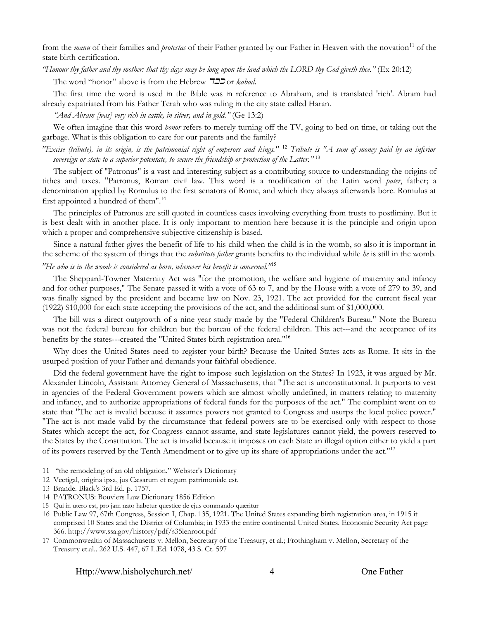from the *manu* of their families and *protestas* of their Father granted by our Father in Heaven with the novation<sup>[11](#page-4-0)</sup> of the state birth certification.

*"Honour thy father and thy mother: that thy days may be long upon the land which the LORD thy God giveth thee."* (Ex 20:12)

The word "honor" above is from the Hebrew 722 or *kabad*.

The first time the word is used in the Bible was in reference to Abraham, and is translated 'rich'. Abram had already expatriated from his Father Terah who was ruling in the city state called Haran.

*"And Abram [was] very rich in cattle, in silver, and in gold."* (Ge 13:2)

We often imagine that this word *honor* refers to merely turning off the TV, going to bed on time, or taking out the garbage. What is this obligation to care for our parents and the family?

"Excise (tribute), in its origin, is the patrimonial right of emperors and kings." <sup>[12](#page-4-1)</sup> Tribute is "A sum of money paid by an inferior *sovereign or state to a superior potentate, to secure the friendship or protection of the Latter."* [13](#page-4-2)

The subject of "Patronus" is a vast and interesting subject as a contributing source to understanding the origins of tithes and taxes. "Patronus, Roman civil law. This word is a modification of the Latin word *pater*, father; a denomination applied by Romulus to the first senators of Rome, and which they always afterwards bore. Romulus at first appointed a hundred of them".<sup>[14](#page-4-3)</sup>

The principles of Patronus are still quoted in countless cases involving everything from trusts to postliminy. But it is best dealt with in another place. It is only important to mention here because it is the principle and origin upon which a proper and comprehensive subjective citizenship is based.

Since a natural father gives the benefit of life to his child when the child is in the womb, so also it is important in the scheme of the system of things that the *substitute father* grants benefits to the individual while *he* is still in the womb.

### *"He who is in the womb is considered as born, whenever his benefit is concerned."*[15](#page-4-4)

The Sheppard-Towner Maternity Act was "for the promotion, the welfare and hygiene of maternity and infancy and for other purposes," The Senate passed it with a vote of 63 to 7, and by the House with a vote of 279 to 39, and was finally signed by the president and became law on Nov. 23, 1921. The act provided for the current fiscal year (1922) \$10,000 for each state accepting the provisions of the act, and the additional sum of \$1,000,000.

The bill was a direct outgrowth of a nine year study made by the "Federal Children's Bureau." Note the Bureau was not the federal bureau for children but the bureau of the federal children. This act---and the acceptance of its benefits by the states---created the "United States birth registration area."[16](#page-4-5)

Why does the United States need to register your birth? Because the United States acts as Rome. It sits in the usurped position of your Father and demands your faithful obedience.

Did the federal government have the right to impose such legislation on the States? In 1923, it was argued by Mr. Alexander Lincoln, Assistant Attorney General of Massachusetts, that "The act is unconstitutional. It purports to vest in agencies of the Federal Government powers which are almost wholly undefined, in matters relating to maternity and infancy, and to authorize appropriations of federal funds for the purposes of the act." The complaint went on to state that "The act is invalid because it assumes powers not granted to Congress and usurps the local police power." "The act is not made valid by the circumstance that federal powers are to be exercised only with respect to those States which accept the act, for Congress cannot assume, and state legislatures cannot yield, the powers reserved to the States by the Constitution. The act is invalid because it imposes on each State an illegal option either to yield a part of its powers reserved by the Tenth Amendment or to give up its share of appropriations under the act."[17](#page-4-6)

<span id="page-4-0"></span><sup>11 &</sup>quot;the remodeling of an old obligation." Webster's Dictionary

<span id="page-4-1"></span><sup>12</sup> Vectigal, origina ipsa, jus Cæsarum et regum patrimoniale est.

<span id="page-4-2"></span><sup>13</sup> Brande. Black's 3rd Ed. p. 1757.

<span id="page-4-3"></span><sup>14</sup> PATRONUS: Bouviers Law Dictionary 1856 Edition

<span id="page-4-4"></span><sup>15</sup> Qui in utero est, pro jam nato habetur questice de ejus commando quæritur

<span id="page-4-5"></span><sup>16</sup> Public Law 97, 67th Congress, Session I, Chap. 135, 1921. The United States expanding birth registration area, in 1915 it comprised 10 States and the District of Columbia; in 1933 the entire continental United States. Economic Security Act page 366. http://www.ssa.gov/history/pdf/s35lenroot.pdf

<span id="page-4-6"></span><sup>17</sup> Commonwealth of Massachusetts v. Mellon, Secretary of the Treasury, et al.; Frothingham v. Mellon, Secretary of the Treasury et.al.. 262 U.S. 447, 67 L.Ed. 1078, 43 S. Ct. 597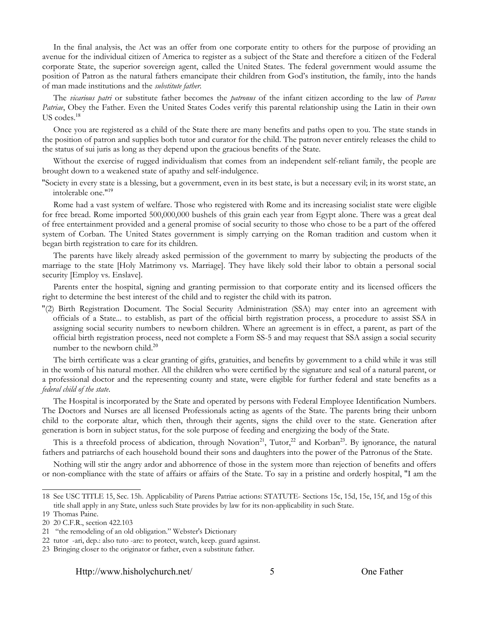In the final analysis, the Act was an offer from one corporate entity to others for the purpose of providing an avenue for the individual citizen of America to register as a subject of the State and therefore a citizen of the Federal corporate State, the superior sovereign agent, called the United States. The federal government would assume the position of Patron as the natural fathers emancipate their children from God's institution, the family, into the hands of man made institutions and the *substitute father.*

The *vicarious patri* or substitute father becomes the *patronus* of the infant citizen according to the law of *Parens Patriae*, Obey the Father. Even the United States Codes verify this parental relationship using the Latin in their own US codes.[18](#page-5-0)

Once you are registered as a child of the State there are many benefits and paths open to you. The state stands in the position of patron and supplies both tutor and curator for the child. The patron never entirely releases the child to the status of sui juris as long as they depend upon the gracious benefits of the State.

Without the exercise of rugged individualism that comes from an independent self-reliant family, the people are brought down to a weakened state of apathy and self-indulgence.

"Society in every state is a blessing, but a government, even in its best state, is but a necessary evil; in its worst state, an intolerable one."[19](#page-5-1)

Rome had a vast system of welfare. Those who registered with Rome and its increasing socialist state were eligible for free bread. Rome imported 500,000,000 bushels of this grain each year from Egypt alone. There was a great deal of free entertainment provided and a general promise of social security to those who chose to be a part of the offered system of Corban. The United States government is simply carrying on the Roman tradition and custom when it began birth registration to care for its children.

The parents have likely already asked permission of the government to marry by subjecting the products of the marriage to the state [Holy Matrimony vs. Marriage]. They have likely sold their labor to obtain a personal social security [Employ vs. Enslave].

Parents enter the hospital, signing and granting permission to that corporate entity and its licensed officers the right to determine the best interest of the child and to register the child with its patron.

"(2) Birth Registration Document. The Social Security Administration (SSA) may enter into an agreement with officials of a State... to establish, as part of the official birth registration process, a procedure to assist SSA in assigning social security numbers to newborn children. Where an agreement is in effect, a parent, as part of the official birth registration process, need not complete a Form SS-5 and may request that SSA assign a social security number to the newborn child.<sup>[20](#page-5-2)</sup>

The birth certificate was a clear granting of gifts, gratuities, and benefits by government to a child while it was still in the womb of his natural mother. All the children who were certified by the signature and seal of a natural parent, or a professional doctor and the representing county and state, were eligible for further federal and state benefits as a *federal child of the state*.

The Hospital is incorporated by the State and operated by persons with Federal Employee Identification Numbers. The Doctors and Nurses are all licensed Professionals acting as agents of the State. The parents bring their unborn child to the corporate altar, which then, through their agents, signs the child over to the state. Generation after generation is born in subject status, for the sole purpose of feeding and energizing the body of the State.

This is a threefold process of abdication, through Novation<sup>[21](#page-5-3)</sup>, Tutor,<sup>[22](#page-5-4)</sup> and Korban<sup>[23](#page-5-5)</sup>. By ignorance, the natural fathers and patriarchs of each household bound their sons and daughters into the power of the Patronus of the State.

Nothing will stir the angry ardor and abhorrence of those in the system more than rejection of benefits and offers or non-compliance with the state of affairs or affairs of the State. To say in a pristine and orderly hospital, "I am the

<span id="page-5-0"></span><sup>18</sup> See USC TITLE 15, Sec. 15h. Applicability of Parens Patriae actions: STATUTE- Sections 15c, 15d, 15e, 15f, and 15g of this title shall apply in any State, unless such State provides by law for its non-applicability in such State.

<span id="page-5-1"></span><sup>19</sup> Thomas Paine.

<span id="page-5-2"></span><sup>20</sup> 20 C.F.R., section 422.103

<span id="page-5-3"></span><sup>21 &</sup>quot;the remodeling of an old obligation." Webster's Dictionary

<span id="page-5-4"></span><sup>22</sup> tutor -ari, dep.: also tuto -are: to protect, watch, keep. guard against.

<span id="page-5-5"></span><sup>23</sup> Bringing closer to the originator or father, even a substitute father.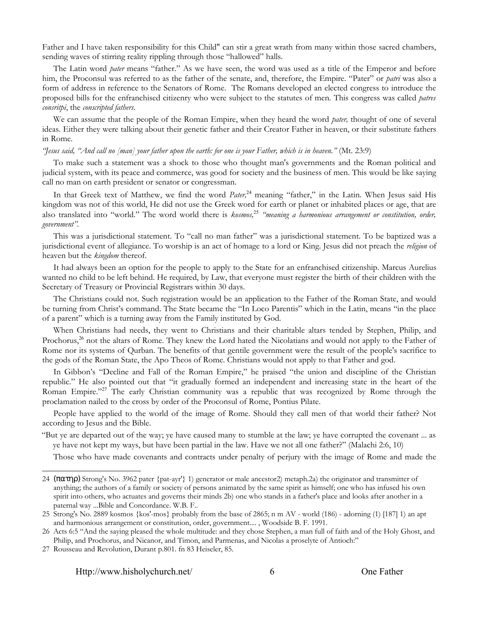Father and I have taken responsibility for this Child" can stir a great wrath from many within those sacred chambers, sending waves of stirring reality rippling through those "hallowed" halls.

The Latin word *pater* means "father." As we have seen, the word was used as a title of the Emperor and before him, the Proconsul was referred to as the father of the senate, and, therefore, the Empire. "Pater" or *patri* was also a form of address in reference to the Senators of Rome. The Romans developed an elected congress to introduce the proposed bills for the enfranchised citizenry who were subject to the statutes of men. This congress was called *patres consritpi*, the *conscripted fathers*.

We can assume that the people of the Roman Empire, when they heard the word *pater,* thought of one of several ideas. Either they were talking about their genetic father and their Creator Father in heaven, or their substitute fathers in Rome.

#### *"Jesus said, "And call no [man] your father upon the earth: for one is your Father, which is in heaven."* (Mt. 23:9)

To make such a statement was a shock to those who thought man's governments and the Roman political and judicial system, with its peace and commerce, was good for society and the business of men. This would be like saying call no man on earth president or senator or congressman.

In that Greek text of Matthew, we find the word *Pater,*[24](#page-6-0) meaning "father," in the Latin. When Jesus said His kingdom was not of this world, He did not use the Greek word for earth or planet or inhabited places or age, that are also translated into "world." The word world there is *kosmos,*[25](#page-6-1) *"meaning a harmonious arrangement or constitution, order, government".*

This was a jurisdictional statement. To "call no man father" was a jurisdictional statement. To be baptized was a jurisdictional event of allegiance. To worship is an act of homage to a lord or King. Jesus did not preach the *religion* of heaven but the *kingdom* thereof.

It had always been an option for the people to apply to the State for an enfranchised citizenship. Marcus Aurelius wanted no child to be left behind. He required, by Law, that everyone must register the birth of their children with the Secretary of Treasury or Provincial Registrars within 30 days.

The Christians could not. Such registration would be an application to the Father of the Roman State, and would be turning from Christ's command. The State became the "In Loco Parentis" which in the Latin, means "in the place of a parent" which is a turning away from the Family instituted by God.

When Christians had needs, they went to Christians and their charitable altars tended by Stephen, Philip, and Prochorus,<sup>[26](#page-6-2)</sup> not the altars of Rome. They knew the Lord hated the Nicolatians and would not apply to the Father of Rome nor its systems of Qurban. The benefits of that gentile government were the result of the people's sacrifice to the gods of the Roman State, the Apo Theos of Rome. Christians would not apply to that Father and god.

In Gibbon's "Decline and Fall of the Roman Empire," he praised "the union and discipline of the Christian republic." He also pointed out that "it gradually formed an independent and increasing state in the heart of the Roman Empire."[27](#page-6-3) The early Christian community was a republic that was recognized by Rome through the proclamation nailed to the cross by order of the Proconsul of Rome, Pontius Pilate.

People have applied to the world of the image of Rome. Should they call men of that world their father? Not according to Jesus and the Bible.

"But ye are departed out of the way; ye have caused many to stumble at the law; ye have corrupted the covenant ... as ye have not kept my ways, but have been partial in the law. Have we not all one father?" (Malachi 2:6, 10)

Those who have made covenants and contracts under penalty of perjury with the image of Rome and made the

<span id="page-6-0"></span><sup>24</sup>  $(\pi \alpha \tau \eta \rho)$  Strong's No. 3962 pater {pat-ayr'} 1) generator or male ancestor2) metaph.2a) the originator and transmitter of anything; the authors of a family or society of persons animated by the same spirit as himself; one who has infused his own spirit into others, who actuates and governs their minds 2b) one who stands in a father's place and looks after another in a paternal way ...Bible and Concordance. W.B. F..

<span id="page-6-1"></span><sup>25</sup> Strong's No. 2889 kosmos {kos'-mos} probably from the base of 2865; n m AV - world (186) - adorning (1) [187] 1) an apt and harmonious arrangement or constitution, order, government.... , Woodside B. F. 1991.

<span id="page-6-2"></span><sup>26</sup> Acts 6:5 "And the saying pleased the whole multitude: and they chose Stephen, a man full of faith and of the Holy Ghost, and Philip, and Prochorus, and Nicanor, and Timon, and Parmenas, and Nicolas a proselyte of Antioch:"

<span id="page-6-3"></span><sup>27</sup> Rousseau and Revolution, Durant p.801. fn 83 Heiseler, 85.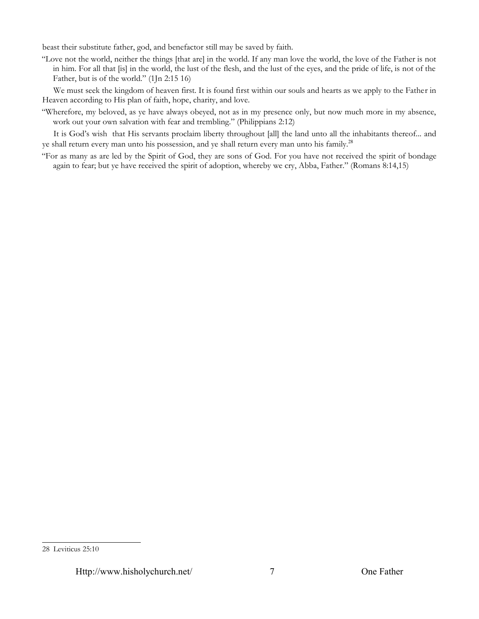beast their substitute father, god, and benefactor still may be saved by faith.

"Love not the world, neither the things [that are] in the world. If any man love the world, the love of the Father is not in him. For all that [is] in the world, the lust of the flesh, and the lust of the eyes, and the pride of life, is not of the Father, but is of the world." (1Jn 2:15 16)

We must seek the kingdom of heaven first. It is found first within our souls and hearts as we apply to the Father in Heaven according to His plan of faith, hope, charity, and love.

"Wherefore, my beloved, as ye have always obeyed, not as in my presence only, but now much more in my absence, work out your own salvation with fear and trembling." (Philippians 2:12)

It is God's wish that His servants proclaim liberty throughout [all] the land unto all the inhabitants thereof... and ye shall return every man unto his possession, and ye shall return every man unto his family.<sup>[28](#page-7-0)</sup>

"For as many as are led by the Spirit of God, they are sons of God. For you have not received the spirit of bondage again to fear; but ye have received the spirit of adoption, whereby we cry, Abba, Father." (Romans 8:14,15)

<span id="page-7-0"></span><sup>28</sup> Leviticus 25:10